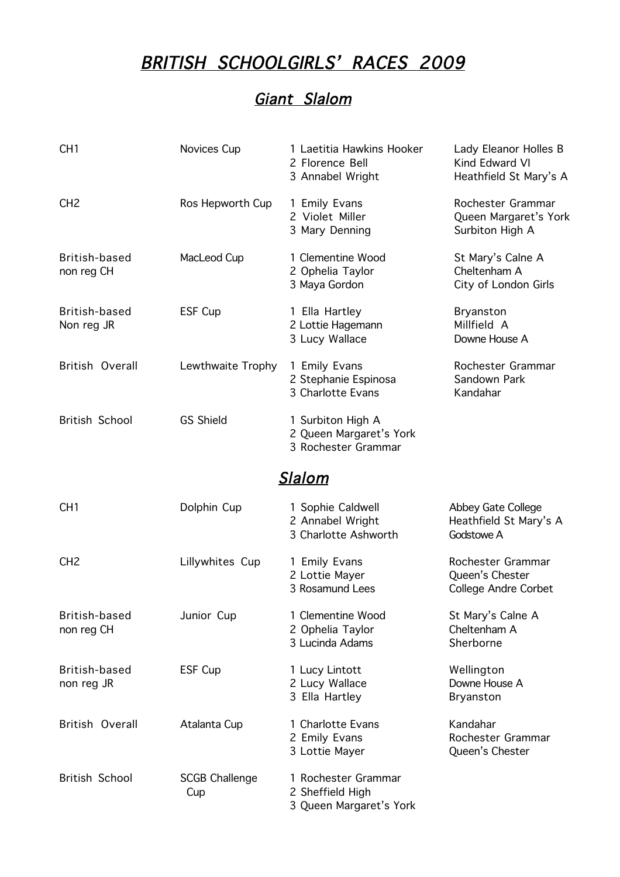## BRITISH SCHOOLGIRLS' RACES 2009

## Giant Slalom

| CH <sub>1</sub>             | Novices Cup                  | 1 Laetitia Hawkins Hooker<br>2 Florence Bell<br>3 Annabel Wright    | Lady Eleanor Holles B<br>Kind Edward VI<br>Heathfield St Mary's A   |  |
|-----------------------------|------------------------------|---------------------------------------------------------------------|---------------------------------------------------------------------|--|
| CH <sub>2</sub>             | Ros Hepworth Cup             | 1 Emily Evans<br>2 Violet Miller<br>3 Mary Denning                  | Rochester Grammar<br>Queen Margaret's York<br>Surbiton High A       |  |
| British-based<br>non reg CH | MacLeod Cup                  | 1 Clementine Wood<br>2 Ophelia Taylor<br>3 Maya Gordon              | St Mary's Calne A<br>Cheltenham A<br>City of London Girls           |  |
| British-based<br>Non reg JR | ESF Cup                      | 1 Ella Hartley<br>2 Lottie Hagemann<br>3 Lucy Wallace               | <b>Bryanston</b><br>Millfield A<br>Downe House A                    |  |
| British Overall             | Lewthwaite Trophy            | 1 Emily Evans<br>2 Stephanie Espinosa<br>3 Charlotte Evans          | Rochester Grammar<br>Sandown Park<br>Kandahar                       |  |
| <b>British School</b>       | <b>GS Shield</b>             | 1 Surbiton High A<br>2 Queen Margaret's York<br>3 Rochester Grammar |                                                                     |  |
| <b>Slalom</b>               |                              |                                                                     |                                                                     |  |
| CH <sub>1</sub>             | Dolphin Cup                  | 1 Sophie Caldwell<br>2 Annabel Wright<br>3 Charlotte Ashworth       | Abbey Gate College<br>Heathfield St Mary's A<br>Godstowe A          |  |
| CH <sub>2</sub>             | Lillywhites Cup              | 1 Emily Evans<br>2 Lottie Mayer<br>3 Rosamund Lees                  | Rochester Grammar<br>Queen's Chester<br><b>College Andre Corbet</b> |  |
| British-based<br>non reg CH | Junior Cup                   | 1 Clementine Wood<br>2 Ophelia Taylor<br>3 Lucinda Adams            | St Mary's Calne A<br>Cheltenham A<br>Sherborne                      |  |
| British-based<br>non reg JR | ESF Cup                      | 1 Lucy Lintott<br>2 Lucy Wallace<br>3 Ella Hartley                  | Wellington<br>Downe House A<br><b>Bryanston</b>                     |  |
| British Overall             | Atalanta Cup                 | 1 Charlotte Evans<br>2 Emily Evans<br>3 Lottie Mayer                | Kandahar<br>Rochester Grammar<br>Queen's Chester                    |  |
| <b>British School</b>       | <b>SCGB Challenge</b><br>Cup | 1 Rochester Grammar<br>2 Sheffield High<br>3 Queen Margaret's York  |                                                                     |  |